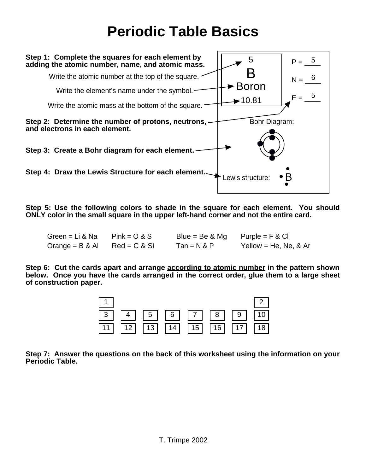## **Periodic Table Basics**



**Step 5: Use the following colors to shade in the square for each element. You should ONLY color in the small square in the upper left-hand corner and not the entire card.** 

| Green = Li & Na   | $Pink = O & S$  | Blue = Be $&$ Mg | $P$ urple = F & Cl     |
|-------------------|-----------------|------------------|------------------------|
| Orange = $B & AI$ | $Red = C & S$ i | $Tan = N & P$    | Yellow = He, Ne, $&Ar$ |

**Step 6: Cut the cards apart and arrange according to atomic number in the pattern shown below. Once you have the cards arranged in the correct order, glue them to a large sheet of construction paper.** 



**Step 7: Answer the questions on the back of this worksheet using the information on your Periodic Table.**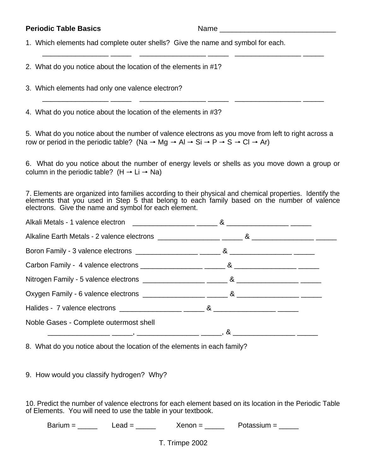**Periodic Table Basics** Name Name 1. Which elements had complete outer shells? Give the name and symbol for each. \_\_\_\_\_\_\_\_\_\_\_\_\_\_\_\_ \_\_\_\_\_ \_\_\_\_\_\_\_\_\_\_\_\_\_\_\_\_ \_\_\_\_\_ \_\_\_\_\_\_\_\_\_\_\_\_\_\_\_\_ \_\_\_\_\_ 2. What do you notice about the location of the elements in #1? 3. Which elements had only one valence electron? \_\_\_\_\_\_\_\_\_\_\_\_\_\_\_\_ \_\_\_\_\_ \_\_\_\_\_\_\_\_\_\_\_\_\_\_\_\_ \_\_\_\_\_ \_\_\_\_\_\_\_\_\_\_\_\_\_\_\_\_ \_\_\_\_\_ 4. What do you notice about the location of the elements in #3? 5. What do you notice about the number of valence electrons as you move from left to right across a row or period in the periodic table? (Na  $\rightarrow$  Mg  $\rightarrow$  Al  $\rightarrow$  Si  $\rightarrow$  P  $\rightarrow$  S  $\rightarrow$  Cl  $\rightarrow$  Ar) 6. What do you notice about the number of energy levels or shells as you move down a group or column in the periodic table? (H  $\rightarrow$  Li  $\rightarrow$  Na) 7. Elements are organized into families according to their physical and chemical properties. Identify the elements that you used in Step 5 that belong to each family based on the number of valence electrons. Give the name and symbol for each element. Alkali Metals - 1 valence electron  $\overline{\phantom{a}}$   $\overline{\phantom{a}}$   $\overline{\phantom{a}}$   $\overline{\phantom{a}}$   $\overline{\phantom{a}}$   $\overline{\phantom{a}}$   $\overline{\phantom{a}}$   $\overline{\phantom{a}}$   $\overline{\phantom{a}}$   $\overline{\phantom{a}}$   $\overline{\phantom{a}}$   $\overline{\phantom{a}}$   $\overline{\phantom{a}}$   $\overline{\phantom{a}}$   $\overline{\phantom{a}}$   $\overline{\phant$ 

| AIKAII METAIS - 1 VAIENCE EIECTION AND THE CONTROL CONTROL CONTROL CONTROL CONTROL CONTROL CONTROL CONTROL CONTR |  |
|------------------------------------------------------------------------------------------------------------------|--|
|                                                                                                                  |  |
|                                                                                                                  |  |
|                                                                                                                  |  |
|                                                                                                                  |  |
|                                                                                                                  |  |
|                                                                                                                  |  |
| Noble Gases - Complete outermost shell                                                                           |  |
|                                                                                                                  |  |

8. What do you notice about the location of the elements in each family?

9. How would you classify hydrogen? Why?

10. Predict the number of valence electrons for each element based on its location in the Periodic Table of Elements. You will need to use the table in your textbook.

Barium = \_\_\_\_\_ Lead = \_\_\_\_\_ Xenon = \_\_\_\_ Potassium = \_\_\_\_

T. Trimpe 2002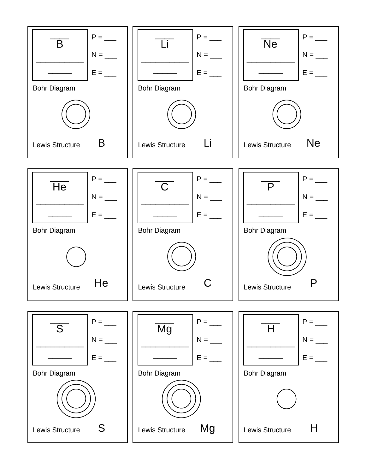